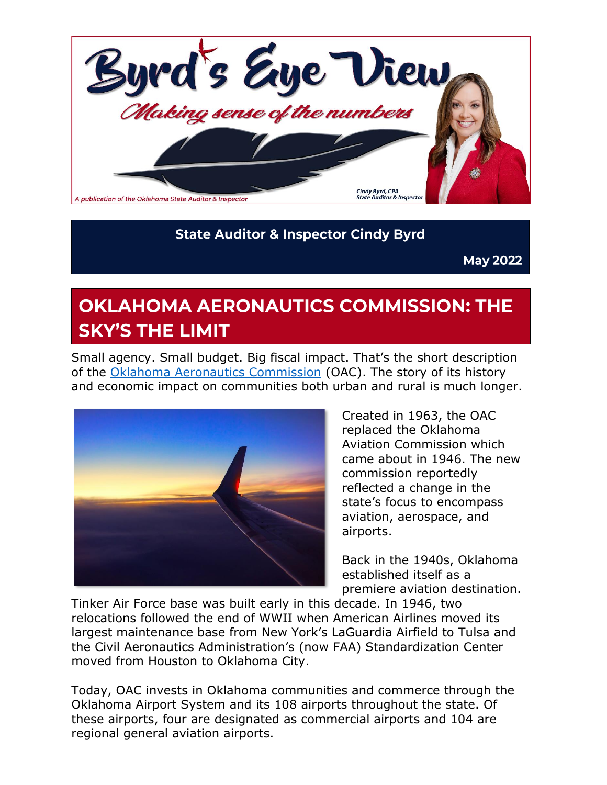

#### **State Auditor & Inspector Cindy Byrd**

**May 2022** 

# **OKLAHOMA AERONAUTICS COMMISSION: THE SKY'S THE LIMIT**

Small agency. Small budget. Big fiscal impact. That's the short description of the [Oklahoma Aeronautics Commission](https://oac.ok.gov/) (OAC). The story of its history and economic impact on communities both urban and rural is much longer.



Created in 1963, the OAC replaced the Oklahoma Aviation Commission which came about in 1946. The new commission reportedly reflected a change in the state's focus to encompass aviation, aerospace, and airports.

Back in the 1940s, Oklahoma established itself as a premiere aviation destination.

Tinker Air Force base was built early in this decade. In 1946, two relocations followed the end of WWII when American Airlines moved its largest maintenance base from New York's LaGuardia Airfield to Tulsa and the Civil Aeronautics Administration's (now FAA) Standardization Center moved from Houston to Oklahoma City.

Today, OAC invests in Oklahoma communities and commerce through the Oklahoma Airport System and its 108 airports throughout the state. Of these airports, four are designated as commercial airports and 104 are regional general aviation airports.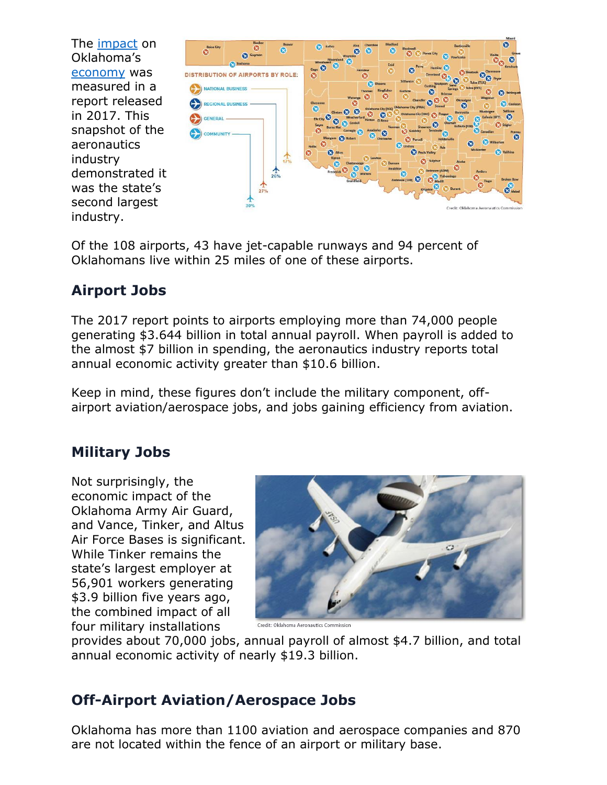The [impact](https://oac.ok.gov/economic-impact) on Oklahoma's [economy](https://oac.ok.gov/economic-impact) was **DISTRIBUTION OF AIRPORTS BY ROLE:** measured in a report released in 2017. This snapshot of the aeronautics industry demonstrated it was the state's second largest industry.

Of the 108 airports, 43 have jet-capable runways and 94 percent of Oklahomans live within 25 miles of one of these airports.

### **Airport Jobs**

The 2017 report points to airports employing more than 74,000 people generating \$3.644 billion in total annual payroll. When payroll is added to the almost \$7 billion in spending, the aeronautics industry reports total annual economic activity greater than \$10.6 billion.

Keep in mind, these figures don't include the military component, offairport aviation/aerospace jobs, and jobs gaining efficiency from aviation.

#### **Military Jobs**

Not surprisingly, the economic impact of the Oklahoma Army Air Guard, and Vance, Tinker, and Altus Air Force Bases is significant. While Tinker remains the state's largest employer at 56,901 workers generating \$3.9 billion five years ago, the combined impact of all four military installations



provides about 70,000 jobs, annual payroll of almost \$4.7 billion, and total annual economic activity of nearly \$19.3 billion.

#### **Off-Airport Aviation/Aerospace Jobs**

Oklahoma has more than 1100 aviation and aerospace companies and 870 are not located within the fence of an airport or military base.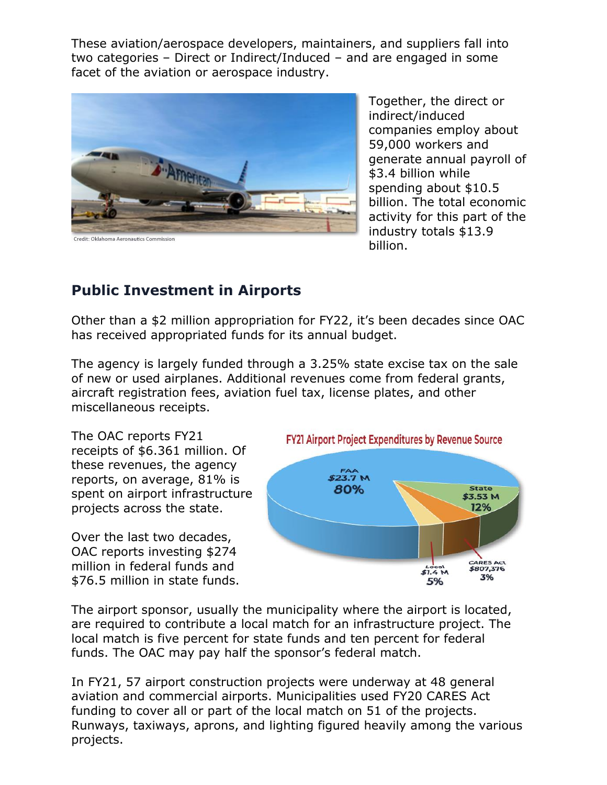These aviation/aerospace developers, maintainers, and suppliers fall into two categories – Direct or Indirect/Induced – and are engaged in some facet of the aviation or aerospace industry.



Together, the direct or indirect/induced companies employ about 59,000 workers and generate annual payroll of \$3.4 billion while spending about \$10.5 billion. The total economic activity for this part of the industry totals \$13.9 billion.

#### **Public Investment in Airports**

Other than a \$2 million appropriation for FY22, it's been decades since OAC has received appropriated funds for its annual budget.

The agency is largely funded through a 3.25% state excise tax on the sale of new or used airplanes. Additional revenues come from federal grants, aircraft registration fees, aviation fuel tax, license plates, and other miscellaneous receipts.

The OAC reports FY21 receipts of \$6.361 million. Of these revenues, the agency reports, on average, 81% is spent on airport infrastructure projects across the state.

Over the last two decades, OAC reports investing \$274 million in federal funds and \$76.5 million in state funds.



The airport sponsor, usually the municipality where the airport is located, are required to contribute a local match for an infrastructure project. The local match is five percent for state funds and ten percent for federal funds. The OAC may pay half the sponsor's federal match.

In FY21, 57 airport construction projects were underway at 48 general aviation and commercial airports. Municipalities used FY20 CARES Act funding to cover all or part of the local match on 51 of the projects. Runways, taxiways, aprons, and lighting figured heavily among the various projects.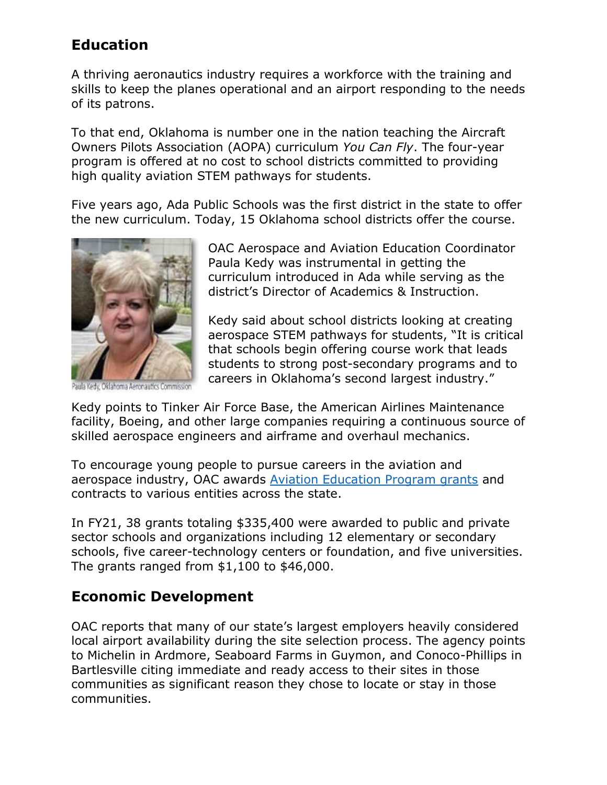#### **Education**

A thriving aeronautics industry requires a workforce with the training and skills to keep the planes operational and an airport responding to the needs of its patrons.

To that end, Oklahoma is number one in the nation teaching the Aircraft Owners Pilots Association (AOPA) curriculum *You Can Fly*. The four-year program is offered at no cost to school districts committed to providing high quality aviation STEM pathways for students.

Five years ago, Ada Public Schools was the first district in the state to offer the new curriculum. Today, 15 Oklahoma school districts offer the course.



Oklahoma Aeronautics Con

OAC Aerospace and Aviation Education Coordinator Paula Kedy was instrumental in getting the curriculum introduced in Ada while serving as the district's Director of Academics & Instruction.

Kedy said about school districts looking at creating aerospace STEM pathways for students, "It is critical that schools begin offering course work that leads students to strong post-secondary programs and to careers in Oklahoma's second largest industry."

Kedy points to Tinker Air Force Base, the American Airlines Maintenance facility, Boeing, and other large companies requiring a continuous source of skilled aerospace engineers and airframe and overhaul mechanics.

To encourage young people to pursue careers in the aviation and aerospace industry, OAC awards [Aviation Education Program grants](https://oac.ok.gov/aviation-education/aviation-education-grant-program) and contracts to various entities across the state.

In FY21, 38 grants totaling \$335,400 were awarded to public and private sector schools and organizations including 12 elementary or secondary schools, five career-technology centers or foundation, and five universities. The grants ranged from \$1,100 to \$46,000.

#### **Economic Development**

OAC reports that many of our state's largest employers heavily considered local airport availability during the site selection process. The agency points to Michelin in Ardmore, Seaboard Farms in Guymon, and Conoco-Phillips in Bartlesville citing immediate and ready access to their sites in those communities as significant reason they chose to locate or stay in those communities.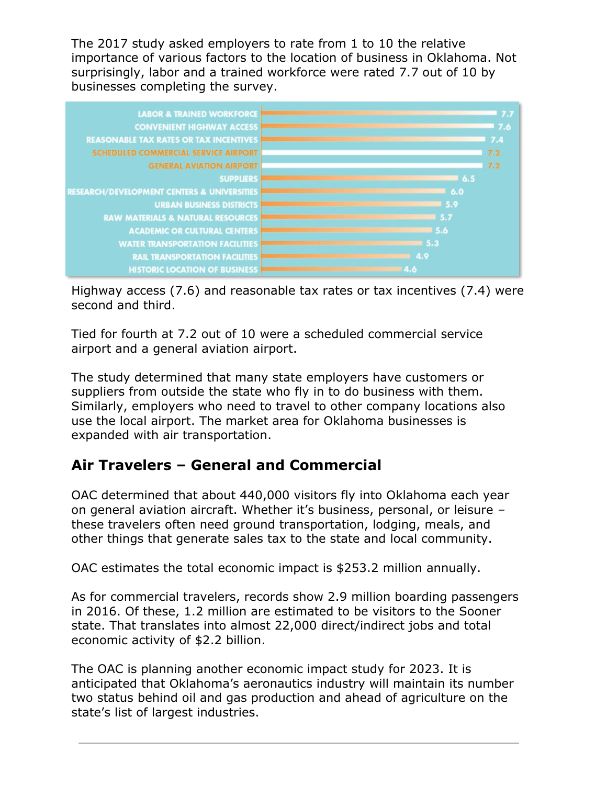The 2017 study asked employers to rate from 1 to 10 the relative importance of various factors to the location of business in Oklahoma. Not surprisingly, labor and a trained workforce were rated 7.7 out of 10 by businesses completing the survey.



Highway access (7.6) and reasonable tax rates or tax incentives (7.4) were second and third.

Tied for fourth at 7.2 out of 10 were a scheduled commercial service airport and a general aviation airport.

The study determined that many state employers have customers or suppliers from outside the state who fly in to do business with them. Similarly, employers who need to travel to other company locations also use the local airport. The market area for Oklahoma businesses is expanded with air transportation.

#### **Air Travelers – General and Commercial**

OAC determined that about 440,000 visitors fly into Oklahoma each year on general aviation aircraft. Whether it's business, personal, or leisure – these travelers often need ground transportation, lodging, meals, and other things that generate sales tax to the state and local community.

OAC estimates the total economic impact is \$253.2 million annually.

As for commercial travelers, records show 2.9 million boarding passengers in 2016. Of these, 1.2 million are estimated to be visitors to the Sooner state. That translates into almost 22,000 direct/indirect jobs and total economic activity of \$2.2 billion.

The OAC is planning another economic impact study for 2023. It is anticipated that Oklahoma's aeronautics industry will maintain its number two status behind oil and gas production and ahead of agriculture on the state's list of largest industries.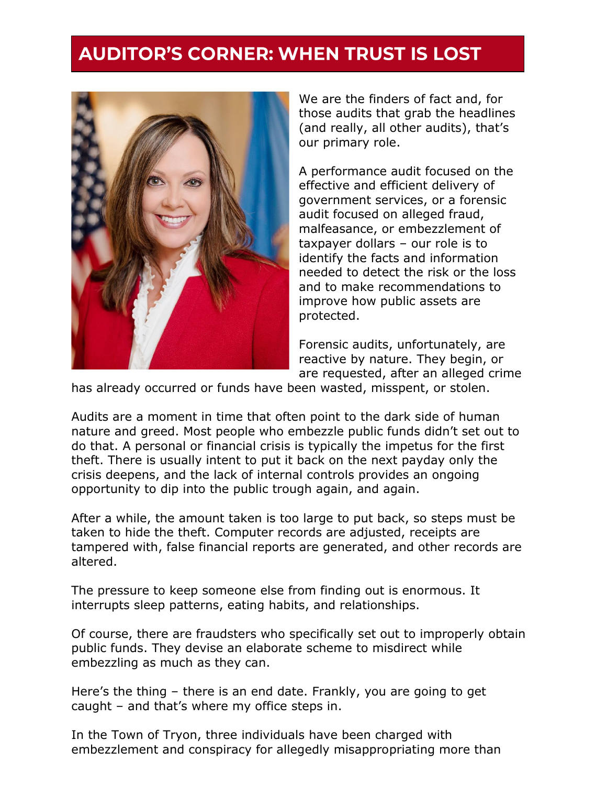### **AUDITOR'S CORNER: WHEN TRUST IS LOST**



We are the finders of fact and, for those audits that grab the headlines (and really, all other audits), that's our primary role.

A performance audit focused on the effective and efficient delivery of government services, or a forensic audit focused on alleged fraud, malfeasance, or embezzlement of taxpayer dollars – our role is to identify the facts and information needed to detect the risk or the loss and to make recommendations to improve how public assets are protected.

Forensic audits, unfortunately, are reactive by nature. They begin, or are requested, after an alleged crime

has already occurred or funds have been wasted, misspent, or stolen.

Audits are a moment in time that often point to the dark side of human nature and greed. Most people who embezzle public funds didn't set out to do that. A personal or financial crisis is typically the impetus for the first theft. There is usually intent to put it back on the next payday only the crisis deepens, and the lack of internal controls provides an ongoing opportunity to dip into the public trough again, and again.

After a while, the amount taken is too large to put back, so steps must be taken to hide the theft. Computer records are adjusted, receipts are tampered with, false financial reports are generated, and other records are altered.

The pressure to keep someone else from finding out is enormous. It interrupts sleep patterns, eating habits, and relationships.

Of course, there are fraudsters who specifically set out to improperly obtain public funds. They devise an elaborate scheme to misdirect while embezzling as much as they can.

Here's the thing – there is an end date. Frankly, you are going to get caught – and that's where my office steps in.

In the Town of Tryon, three individuals have been charged with embezzlement and conspiracy for allegedly misappropriating more than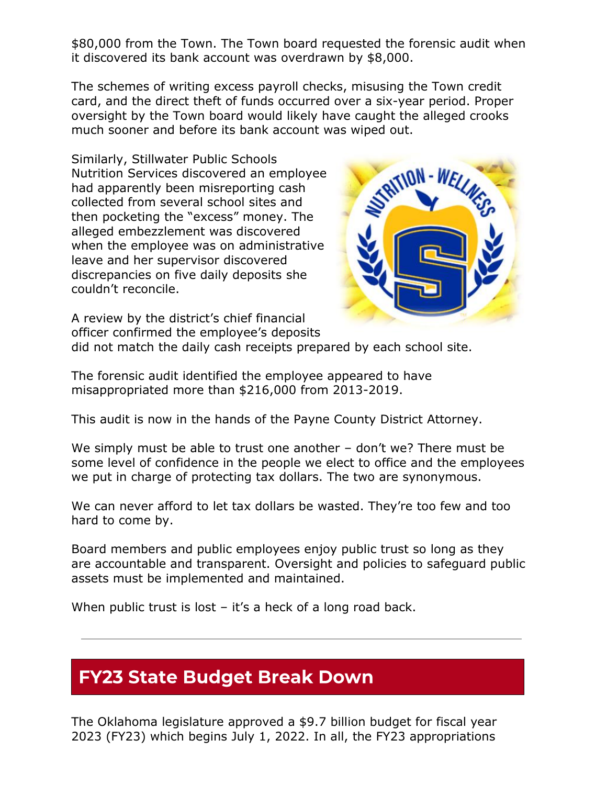\$80,000 from the Town. The Town board requested the forensic audit when it discovered its bank account was overdrawn by \$8,000.

The schemes of writing excess payroll checks, misusing the Town credit card, and the direct theft of funds occurred over a six-year period. Proper oversight by the Town board would likely have caught the alleged crooks much sooner and before its bank account was wiped out.

Similarly, Stillwater Public Schools Nutrition Services discovered an employee had apparently been misreporting cash collected from several school sites and then pocketing the "excess" money. The alleged embezzlement was discovered when the employee was on administrative leave and her supervisor discovered discrepancies on five daily deposits she couldn't reconcile.



A review by the district's chief financial officer confirmed the employee's deposits

did not match the daily cash receipts prepared by each school site.

The forensic audit identified the employee appeared to have misappropriated more than \$216,000 from 2013-2019.

This audit is now in the hands of the Payne County District Attorney.

We simply must be able to trust one another – don't we? There must be some level of confidence in the people we elect to office and the employees we put in charge of protecting tax dollars. The two are synonymous.

We can never afford to let tax dollars be wasted. They're too few and too hard to come by.

Board members and public employees enjoy public trust so long as they are accountable and transparent. Oversight and policies to safeguard public assets must be implemented and maintained.

When public trust is lost – it's a heck of a long road back.

## **FY23 State Budget Break Down**

The Oklahoma legislature approved a \$9.7 billion budget for fiscal year 2023 (FY23) which begins July 1, 2022. In all, the FY23 appropriations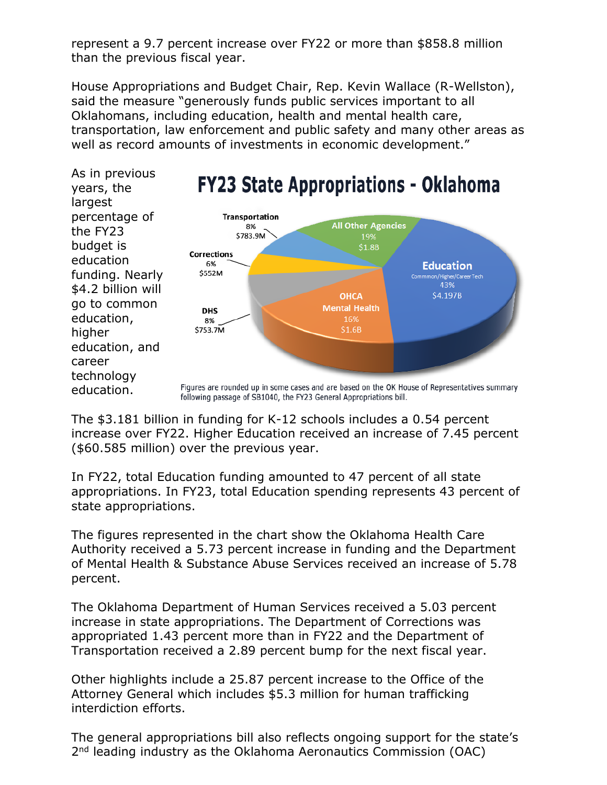represent a 9.7 percent increase over FY22 or more than \$858.8 million than the previous fiscal year.

House Appropriations and Budget Chair, Rep. Kevin Wallace (R-Wellston), said the measure "generously funds public services important to all Oklahomans, including education, health and mental health care, transportation, law enforcement and public safety and many other areas as well as record amounts of investments in economic development."



The \$3.181 billion in funding for K-12 schools includes a 0.54 percent increase over FY22. Higher Education received an increase of 7.45 percent (\$60.585 million) over the previous year.

In FY22, total Education funding amounted to 47 percent of all state appropriations. In FY23, total Education spending represents 43 percent of state appropriations.

The figures represented in the chart show the Oklahoma Health Care Authority received a 5.73 percent increase in funding and the Department of Mental Health & Substance Abuse Services received an increase of 5.78 percent.

The Oklahoma Department of Human Services received a 5.03 percent increase in state appropriations. The Department of Corrections was appropriated 1.43 percent more than in FY22 and the Department of Transportation received a 2.89 percent bump for the next fiscal year.

Other highlights include a 25.87 percent increase to the Office of the Attorney General which includes \$5.3 million for human trafficking interdiction efforts.

The general appropriations bill also reflects ongoing support for the state's 2<sup>nd</sup> leading industry as the Oklahoma Aeronautics Commission (OAC)